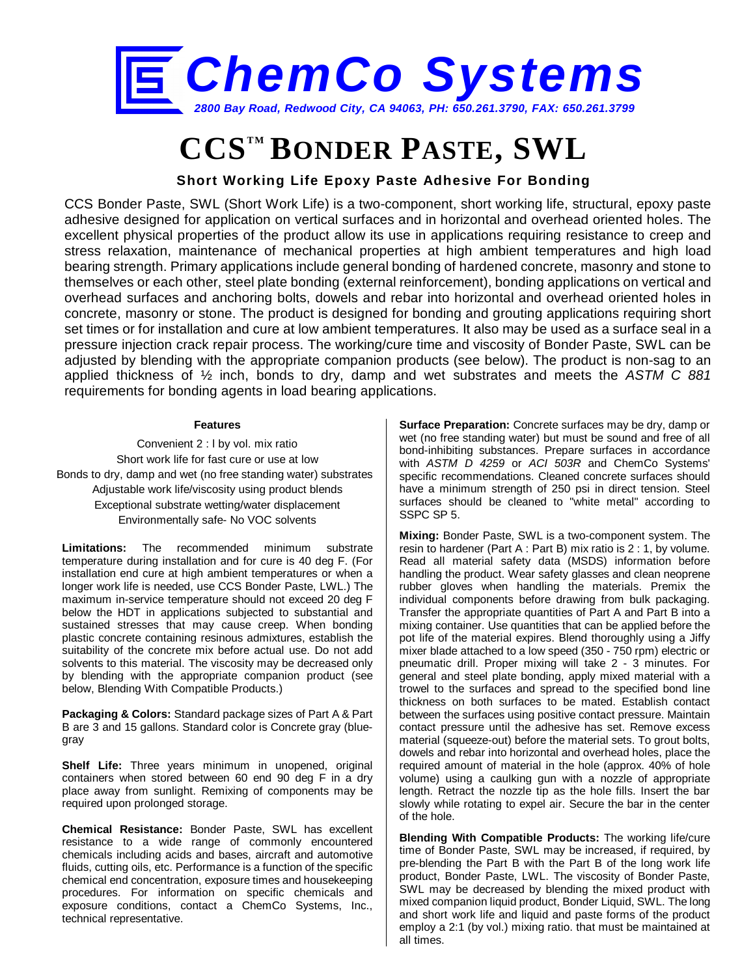

# **CCSTM BONDER PASTE, SWL**

### **Short Working Life Epoxy Paste Adhesive For Bonding**

CCS Bonder Paste, SWL (Short Work Life) is a two-component, short working life, structural, epoxy paste adhesive designed for application on vertical surfaces and in horizontal and overhead oriented holes. The excellent physical properties of the product allow its use in applications requiring resistance to creep and stress relaxation, maintenance of mechanical properties at high ambient temperatures and high load bearing strength. Primary applications include general bonding of hardened concrete, masonry and stone to themselves or each other, steel plate bonding (external reinforcement), bonding applications on vertical and overhead surfaces and anchoring bolts, dowels and rebar into horizontal and overhead oriented holes in concrete, masonry or stone. The product is designed for bonding and grouting applications requiring short set times or for installation and cure at low ambient temperatures. It also may be used as a surface seal in a pressure injection crack repair process. The working/cure time and viscosity of Bonder Paste, SWL can be adjusted by blending with the appropriate companion products (see below). The product is non-sag to an applied thickness of ½ inch, bonds to dry, damp and wet substrates and meets the *ASTM C 881* requirements for bonding agents in load bearing applications.

#### **Features**

Convenient 2 : l by vol. mix ratio Short work life for fast cure or use at low Bonds to dry, damp and wet (no free standing water) substrates Adjustable work life/viscosity using product blends Exceptional substrate wetting/water displacement Environmentally safe- No VOC solvents

**Limitations:** The recommended minimum substrate temperature during installation and for cure is 40 deg F. (For installation end cure at high ambient temperatures or when a longer work life is needed, use CCS Bonder Paste, LWL.) The maximum in-service temperature should not exceed 20 deg F below the HDT in applications subjected to substantial and sustained stresses that may cause creep. When bonding plastic concrete containing resinous admixtures, establish the suitability of the concrete mix before actual use. Do not add solvents to this material. The viscosity may be decreased only by blending with the appropriate companion product (see below, Blending With Compatible Products.)

**Packaging & Colors:** Standard package sizes of Part A & Part B are 3 and 15 gallons. Standard color is Concrete gray (bluegray

**Shelf Life:** Three years minimum in unopened, original containers when stored between 60 end 90 deg F in a dry place away from sunlight. Remixing of components may be required upon prolonged storage.

**Chemical Resistance:** Bonder Paste, SWL has excellent resistance to a wide range of commonly encountered chemicals including acids and bases, aircraft and automotive fluids, cutting oils, etc. Performance is a function of the specific chemical end concentration, exposure times and housekeeping procedures. For information on specific chemicals and exposure conditions, contact a ChemCo Systems, Inc., technical representative.

**Surface Preparation:** Concrete surfaces may be dry, damp or wet (no free standing water) but must be sound and free of all bond-inhibiting substances. Prepare surfaces in accordance with *ASTM D 4259* or *ACI 503R* and ChemCo Systems' specific recommendations. Cleaned concrete surfaces should have a minimum strength of 250 psi in direct tension. Steel surfaces should be cleaned to "white metal" according to SSPC SP 5.

**Mixing:** Bonder Paste, SWL is a two-component system. The resin to hardener (Part A : Part B) mix ratio is 2 : 1, by volume. Read all material safety data (MSDS) information before handling the product. Wear safety glasses and clean neoprene rubber gloves when handling the materials. Premix the individual components before drawing from bulk packaging. Transfer the appropriate quantities of Part A and Part B into a mixing container. Use quantities that can be applied before the pot life of the material expires. Blend thoroughly using a Jiffy mixer blade attached to a low speed (350 - 750 rpm) electric or pneumatic drill. Proper mixing will take 2 - 3 minutes. For general and steel plate bonding, apply mixed material with a trowel to the surfaces and spread to the specified bond line thickness on both surfaces to be mated. Establish contact between the surfaces using positive contact pressure. Maintain contact pressure until the adhesive has set. Remove excess material (squeeze-out) before the material sets. To grout bolts, dowels and rebar into horizontal and overhead holes, place the required amount of material in the hole (approx. 40% of hole volume) using a caulking gun with a nozzle of appropriate length. Retract the nozzle tip as the hole fills. Insert the bar slowly while rotating to expel air. Secure the bar in the center of the hole.

**Blending With Compatible Products:** The working life/cure time of Bonder Paste, SWL may be increased, if required, by pre-blending the Part B with the Part B of the long work life product, Bonder Paste, LWL. The viscosity of Bonder Paste, SWL may be decreased by blending the mixed product with mixed companion liquid product, Bonder Liquid, SWL. The long and short work life and liquid and paste forms of the product employ a 2:1 (by vol.) mixing ratio. that must be maintained at all times.